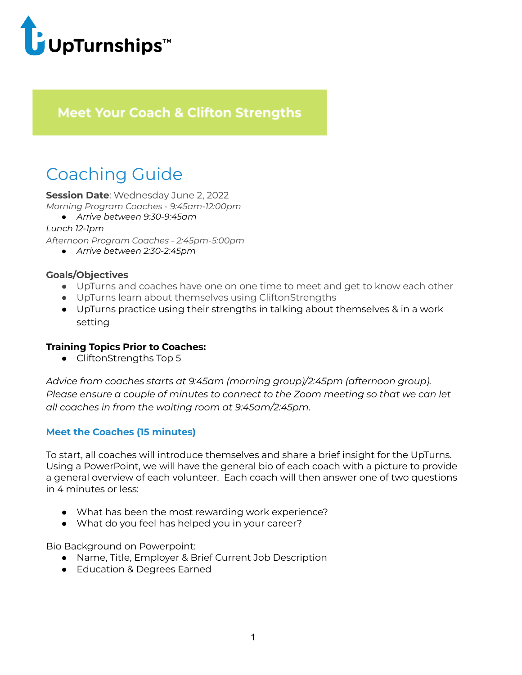

# **Meet Your Coach & Clifton Strengths**

# Coaching Guide

**Session Date**: Wednesday June 2, 2022 *Morning Program Coaches - 9:45am-12:00pm*

*● Arrive between 9:30-9:45am*

*Lunch 12-1pm*

*Afternoon Program Coaches - 2:45pm-5:00pm*

*● Arrive between 2:30-2:45pm*

## **Goals/Objectives**

- UpTurns and coaches have one on one time to meet and get to know each other
- UpTurns learn about themselves using CliftonStrengths
- UpTurns practice using their strengths in talking about themselves & in a work setting

#### **Training Topics Prior to Coaches:**

● CliftonStrengths Top 5

*Advice from coaches starts at 9:45am (morning group)/2:45pm (afternoon group). Please ensure a couple of minutes to connect to the Zoom meeting so that we can let all coaches in from the waiting room at 9:45am/2:45pm.*

## **Meet the Coaches (15 minutes)**

To start, all coaches will introduce themselves and share a brief insight for the UpTurns. Using a PowerPoint, we will have the general bio of each coach with a picture to provide a general overview of each volunteer. Each coach will then answer one of two questions in 4 minutes or less:

- What has been the most rewarding work experience?
- What do you feel has helped you in your career?

Bio Background on Powerpoint:

- Name, Title, Employer & Brief Current Job Description
- Education & Degrees Earned